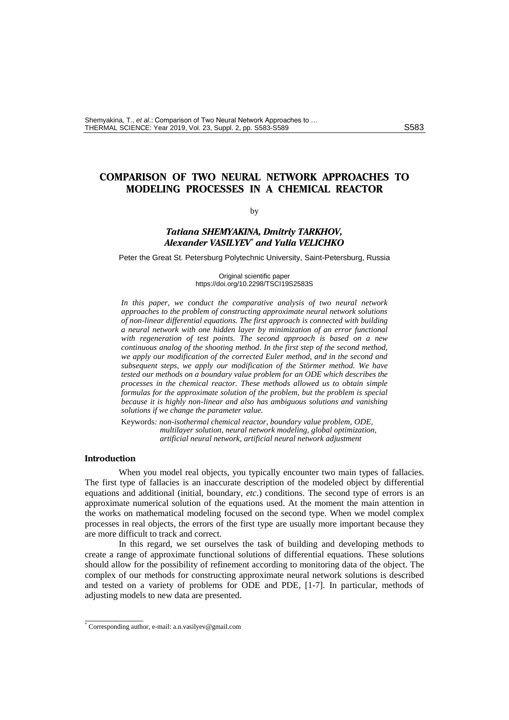# **COMPARISON OF TWO NEURAL NETWORK APPROACHES TO MODELING PROCESSES IN A CHEMICAL REACTOR**

## by

## *Tatiana SHEMYAKINA, Dmitriy TARKHOV, Alexander VASILYEV\* and Yulia VELICHKO*

Peter the Great St. Petersburg Polytechnic University, Saint-Petersburg, Russia

Original scientific paper https://doi.org/10.2298/TSCI19S2583S

*In this paper, we conduct the comparative analysis of two neural network approaches to the problem of constructing approximate neural network solutions of non-linear differential equations. The first approach is connected with building a neural network with one hidden layer by minimization of an error functional with regeneration of test points. The second approach is based on a new continuous analog of the shooting method. In the first step of the second method, we apply our modification of the corrected Euler method, and in the second and subsequent steps, we apply our modification of the Störmer method. We have tested our methods on a boundary value problem for an ODE which describes the processes in the chemical reactor. These methods allowed us to obtain simple formulas for the approximate solution of the problem, but the problem is special because it is highly non-linear and also has ambiguous solutions and vanishing solutions if we change the parameter value.*

Keywords*: non-isothermal chemical reactor, boundary value problem, ODE, multilayer solution, neural network modeling, global optimization, artificial neural network, artificial neural network adjustment*

## **Introduction**

\_\_\_\_\_\_\_\_\_\_\_\_\_

When you model real objects, you typically encounter two main types of fallacies. The first type of fallacies is an inaccurate description of the modeled object by differential equations and additional (initial, boundary, *etc*.) conditions. The second type of errors is an approximate numerical solution of the equations used. At the moment the main attention in the works on mathematical modeling focused on the second type. When we model complex processes in real objects, the errors of the first type are usually more important because they are more difficult to track and correct.

In this regard, we set ourselves the task of building and developing methods to create a range of approximate functional solutions of differential equations. These solutions should allow for the possibility of refinement according to monitoring data of the object. The complex of our methods for constructing approximate neural network solutions is described and tested on a variety of problems for ODE and PDE, [1-7]. In particular, methods of adjusting models to new data are presented.

<sup>\*</sup> Corresponding author, e-mail[: a.n.vasilyev@gmail.com](mailto:a.n.vasilyev@gmail.com)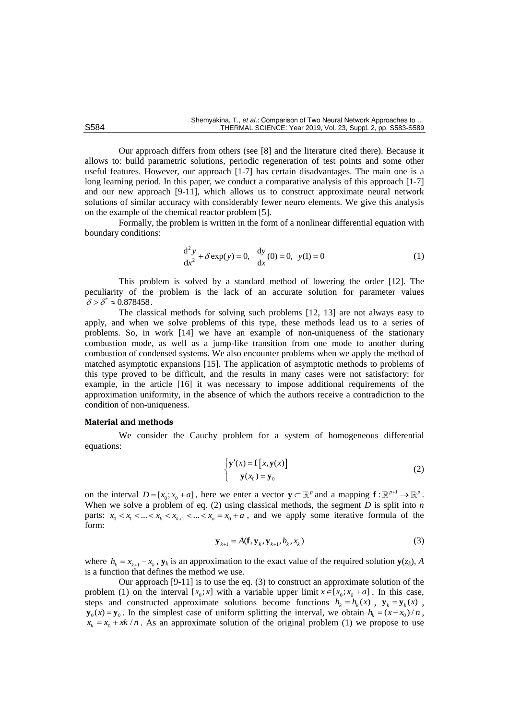Our approach differs from others (see [8] and the literature cited there). Because it allows to: build parametric solutions, periodic regeneration of test points and some other useful features. However, our approach [1-7] has certain disadvantages. The main one is a long learning period. In this paper, we conduct a comparative analysis of this approach [1-7] and our new approach [9-11], which allows us to construct approximate neural network solutions of similar accuracy with considerably fewer neuro elements. We give this analysis on the example of the chemical reactor problem [5].

Formally, the problem is written in the form of a nonlinear differential equation with boundary conditions:

$$
\frac{d^2 y}{dx^2} + \delta \exp(y) = 0, \quad \frac{dy}{dx}(0) = 0, \quad y(1) = 0
$$
 (1)

This problem is solved by a standard method of lowering the order [12]. The peculiarity of the problem is the lack of an accurate solution for parameter values  $\delta > \delta^* \approx 0.878458$ .

The classical methods for solving such problems [12, 13] are not always easy to apply, and when we solve problems of this type, these methods lead us to a series of problems. So, in work [14] we have an example of non-uniqueness of the stationary combustion mode, as well as a jump-like transition from one mode to another during combustion of condensed systems. We also encounter problems when we apply the method of matched asymptotic expansions [15]. The application of asymptotic methods to problems of this type proved to be difficult, and the results in many cases were not satisfactory: for example, in the article [16] it was necessary to impose additional requirements of the approximation uniformity, in the absence of which the authors receive a contradiction to the condition of non-uniqueness.

### **Material and methods**

We consider the Cauchy problem for a system of homogeneous differential equations:

$$
\begin{cases} \mathbf{y}'(x) = \mathbf{f}\left[x, \mathbf{y}(x)\right] \\ \mathbf{y}(x_0) = \mathbf{y}_0 \end{cases}
$$
 (2)

on the interval  $D = [x_0; x_0 + a]$ , here we enter a vector  $y \subset \mathbb{R}^p$  and a mapping  $f : \mathbb{R}^{p+1} \to \mathbb{R}^p$ . When we solve a problem of eq. (2) using classical methods, the segment *D* is split into *n* When we solve a problem of eq. (2) using classical methods, the segment *D* is split into *n* parts:  $x_0 < x_1 < ... < x_k < x_{k+1} < ... < x_n = x_0 + a$ , and we apply some iterative formula of the form:

$$
\mathbf{y}_{k+1} = A(\mathbf{f}, \mathbf{y}_k, \mathbf{y}_{k+1}, h_k, x_k)
$$
\n(3)

where  $h_k = x_{k+1} - x_k$ ,  $y_k$  is an approximation to the exact value of the required solution  $y(z_k)$ , *A* is a function that defines the method we use.

Our approach [9-11] is to use the eq. (3) to construct an approximate solution of the problem (1) on the interval  $[x_0; x]$  with a variable upper limit  $x \in [x_0; x_0 + a]$ . In this case, steps and constructed approximate solutions become functions  $h_k = h_k(x)$ ,  $\mathbf{y}_k = \mathbf{y}_k(x)$ ,  $\mathbf{y}_0(x) = \mathbf{y}_0$ . In the simplest case of uniform splitting the interval, we obtain  $h_k = (x - x_0)/n$ ,  $x_k = x_0 + x k / n$ . As an approximate solution of the original problem (1) we propose to use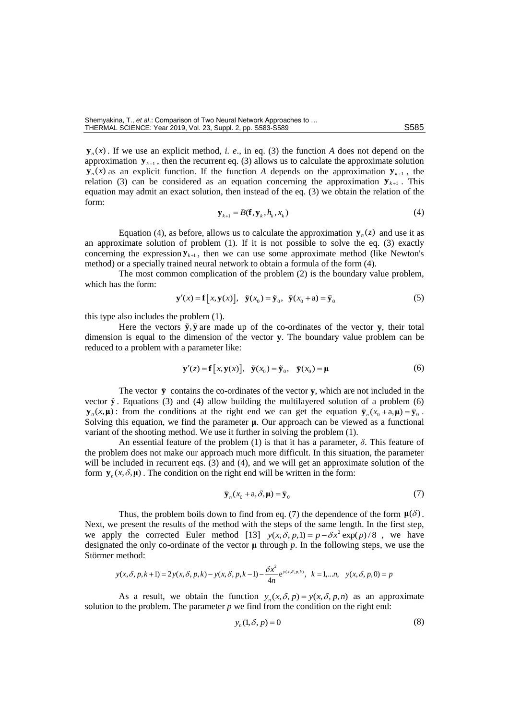$\mathbf{y}_n(x)$ . If we use an explicit method, *i. e.*, in eq. (3) the function *A* does not depend on the approximation  $y_{k+1}$ , then the recurrent eq. (3) allows us to calculate the approximate solution  $\mathbf{y}_n(x)$  as an explicit function. If the function *A* depends on the approximation  $\mathbf{y}_{k+1}$ , the relation (3) can be considered as an equation concerning the approximation  $\mathbf{y}_{k+1}$ . This equation may admit an exact solution, then instead of the eq. (3) we obtain the relation of the form:

$$
\mathbf{y}_{k+1} = B(\mathbf{f}, \mathbf{y}_k, h_k, x_k) \tag{4}
$$

Equation (4), as before, allows us to calculate the approximation  $y_n(z)$  and use it as an approximate solution of problem (1). If it is not possible to solve the eq. (3) exactly concerning the expression  $y_{k+1}$ , then we can use some approximate method (like Newton's method) or a specially trained neural network to obtain a formula of the form (4).

The most common complication of the problem (2) is the boundary value problem, which has the form:

$$
\mathbf{y}'(x) = \mathbf{f}[x, \mathbf{y}(x)], \quad \tilde{\mathbf{y}}(x_0) = \tilde{\mathbf{y}}_0, \quad \tilde{\mathbf{y}}(x_0 + \mathbf{a}) = \hat{\mathbf{y}}_0 \tag{5}
$$

this type also includes the problem (1).

Here the vectors  $\tilde{y}$ ,  $\tilde{y}$  are made up of the co-ordinates of the vector **y**, their total dimension is equal to the dimension of the vector **y**. The boundary value problem can be reduced to a problem with a parameter like:

$$
\mathbf{y}'(z) = \mathbf{f}[x, \mathbf{y}(x)], \quad \tilde{\mathbf{y}}(x_0) = \tilde{\mathbf{y}}_0, \quad \tilde{\mathbf{y}}(x_0) = \mathbf{\mu}
$$
 (6)

The vector  $\bar{y}$  contains the co-ordinates of the vector  $y$ , which are not included in the vector  $\tilde{y}$ . Equations (3) and (4) allow building the multilayered solution of a problem (6)  $\mathbf{y}_n(x, \mu)$ : from the conditions at the right end we can get the equation  $\hat{\mathbf{y}}_n(x_0 + a, \mu) = \hat{\mathbf{y}}_0$ . Solving this equation, we find the parameter **μ**. Our approach can be viewed as a functional variant of the shooting method. We use it further in solving the problem (1).

An essential feature of the problem (1) is that it has a parameter, *δ*. This feature of the problem does not make our approach much more difficult. In this situation, the parameter will be included in recurrent eqs. (3) and (4), and we will get an approximate solution of the form  $\mathbf{y}_n(x, \delta, \mu)$ . The condition on the right end will be written in the form:

$$
\widehat{\mathbf{y}}_n(x_0 + a, \delta, \mathbf{\mu}) = \widehat{\mathbf{y}}_0 \tag{7}
$$

Thus, the problem boils down to find from eq. (7) the dependence of the form  $\mu(\delta)$ . Next, we present the results of the method with the steps of the same length. In the first step, wext, we present the results of the method with the steps of the same length. In the first step,<br>we apply the corrected Euler method [13]  $y(x, \delta, p, 1) = p - \delta x^2 \exp(p)/8$ , we have designated the only co-ordinate of the vector  $\mu$  through p. In the following steps, we use the<br>Störmer method:<br> $y(x, \delta, p, k+1) = 2y(x, \delta, p, k) - y(x, \delta, p, k-1) - \frac{\delta x^2}{4n} e^{y(x, \delta, p, k)}, k = 1, ...n, y(x, \delta, p, 0) = p$ Störmer method:

$$
y(x, \delta, p, k+1) = 2y(x, \delta, p, k) - y(x, \delta, p, k-1) - \frac{\delta x^2}{4n} e^{y(x, \delta, p, k)}, \quad k = 1, \dots n, \quad y(x, \delta, p, 0) = p
$$

As a result, we obtain the function  $y_n(x, \delta, p) = y(x, \delta, p, n)$  as an approximate solution to the problem. The parameter  $p$  we find from the condition on the right end:

$$
y_n(1,\delta,p) = 0 \tag{8}
$$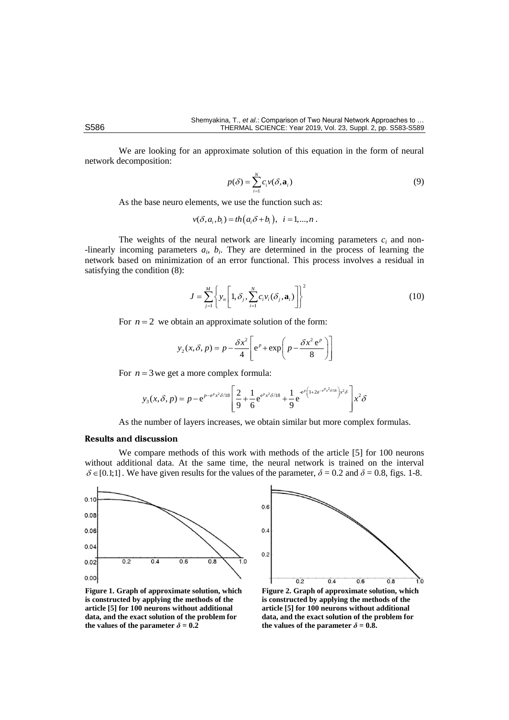We are looking for an approximate solution of this equation in the form of neural network decomposition:

$$
p(\delta) = \sum_{i=1}^{N} c_i v(\delta, \mathbf{a}_i)
$$
\n(9)

As the base neuro elements, we use the function such as:

$$
v(\delta, a_i, b_i) = th(a_i\delta + b_i), i = 1,...,n.
$$

The weights of the neural network are linearly incoming parameters  $c_i$  and non--linearly incoming parameters  $a_i$ ,  $b_i$ . They are determined in the process of learning the network based on minimization of an error functional. This process involves a residual in satisfying the condition (8):

$$
J = \sum_{j=1}^{M} \left\{ y_n \left[ 1, \delta_j, \sum_{i=1}^{N} c_i v_i (\delta_j, \mathbf{a}_i) \right] \right\}^2 \tag{10}
$$

For  $n = 2$  we obtain an approximate solution of the form:

$$
y_2(x, \delta, p) = p - \frac{\delta x^2}{4} \left[ e^p + \exp\left(p - \frac{\delta x^2 e^p}{8}\right) \right]
$$

For 
$$
n = 3
$$
 we get a more complex formula:  
\n
$$
y_3(x, \delta, p) = p - e^{p - e^p x^2 \delta/18} \left[ \frac{2}{9} + \frac{1}{6} e^{e^p x^2 \delta/18} + \frac{1}{9} e^{e^p \left( 1 + 2 e^{-e^p x^2 \delta/18} \right) x^2 \delta} \right] x^2 \delta
$$

As the number of layers increases, we obtain similar but more complex formulas.

#### **Results and discussion**

We compare methods of this work with methods of the article [5] for 100 neurons without additional data. At the same time, the neural network is trained on the interval  $\delta \in [0.1;1]$ . We have given results for the values of the parameter,  $\delta = 0.2$  and  $\delta = 0.8$ , figs. 1-8.



**Figure 1. Graph of approximate solution, which is constructed by applying the methods of the article [5] for 100 neurons without additional data, and the exact solution of the problem for the values of the parameter**  $\delta = 0.2$ 



**Figure 2. Graph of approximate solution, which is constructed by applying the methods of the article [5] for 100 neurons without additional data, and the exact solution of the problem for the values of the parameter**  $\delta = 0.8$ .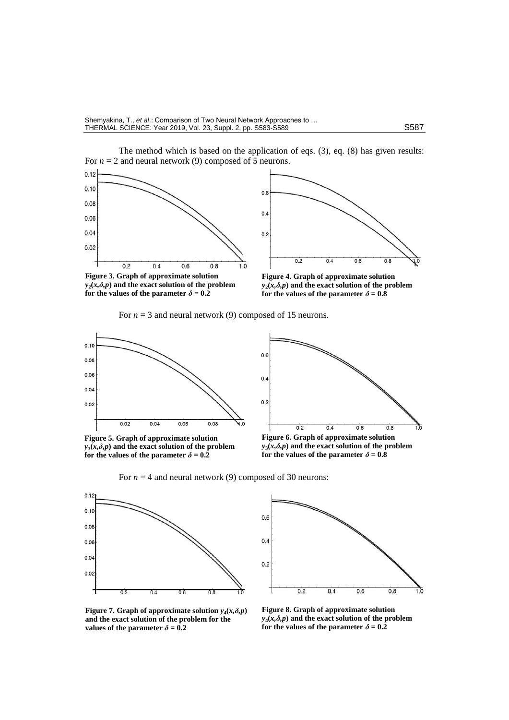The method which is based on the application of eqs. (3), eq. (8) has given results:





**Figure 3. Graph of approximate solution**   $y_2(x, \delta, p)$  and the exact solution of the problem for the values of the parameter  $\delta = 0.2$ 

**Figure 4. Graph of approximate solution**   $y_2(x, \delta, p)$  and the exact solution of the problem **for the values of the parameter**  $\delta = 0.\overline{8}$ 

For  $n = 3$  and neural network (9) composed of 15 neurons.





**Figure 5. Graph of approximate solution**   $y_3(x, \delta, p)$  and the exact solution of the problem **for the values of the parameter**  $\delta = 0.2$ 







 $0.6$  $0.4$  $0.2$  $0.2$  $0.4$  $0.8$  $0.6$ ۱'n

**Figure** 7. Graph of approximate solution  $y_4(x, \delta, p)$ **and the exact solution of the problem for the values of the parameter**  $\delta = 0.2$ 

**Figure 8. Graph of approximate solution**   $y_4(x, \delta, p)$  and the exact solution of the problem **for the values of the parameter**  $\delta = 0.2$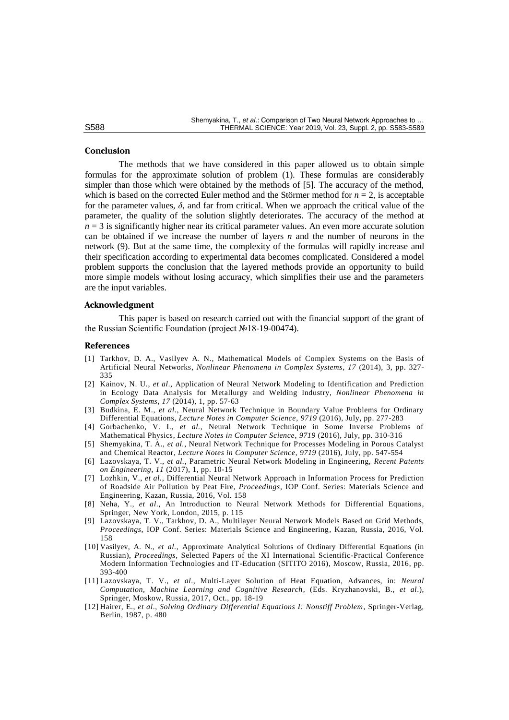#### **Conclusion**

The methods that we have considered in this paper allowed us to obtain simple formulas for the approximate solution of problem (1). These formulas are considerably simpler than those which were obtained by the methods of [5]. The accuracy of the method, which is based on the corrected Euler method and the Störmer method for  $n = 2$ , is acceptable for the parameter values,  $\delta$ , and far from critical. When we approach the critical value of the parameter, the quality of the solution slightly deteriorates. The accuracy of the method at  $n = 3$  is significantly higher near its critical parameter values. An even more accurate solution can be obtained if we increase the number of layers *n* and the number of neurons in the network (9). But at the same time, the complexity of the formulas will rapidly increase and their specification according to experimental data becomes complicated. Considered a model problem supports the conclusion that the layered methods provide an opportunity to build more simple models without losing accuracy, which simplifies their use and the parameters are the input variables.

### **Acknowledgment**

This paper is based on research carried out with the financial support of the grant of the Russian Scientific Foundation (project №18-19-00474).

#### **References**

- [1] Tarkhov, D. A., Vasilyev A. N., Mathematical Models of Complex Systems on the Basis of Artificial Neural Networks, *Nonlinear Phenomena in Complex Systems, 17* (2014), 3, pp. 327- 335
- [2] Kainov, N. U., *et al*., Application of Neural Network Modeling to Identification and Prediction in Ecology Data Analysis for Metallurgy and Welding Industry, *Nonlinear Phenomena in Complex Systems*, *17* (2014), 1, pp. 57-63
- [3] Budkina, E. M., *et al.*, Neural Network Technique in Boundary Value Problems for Ordinary Differential Equations, *[Lecture Notes in Computer Science](http://elibrary.ru/contents.asp?issueid=1639205)*, *9719* (2016), July, pp. 277-283
- [4] Gorbachenko, V. I., *et al.*, Neural Network Technique in Some Inverse Problems of Mathematical Physics, *[Lecture Notes in Computer Science](http://elibrary.ru/contents.asp?issueid=1639205)*, *9719* (2016), July, pp. 310-316
- [5] Shemyakina, T. A., *et al.*, Neural Network Technique for Processes Modeling in Porous Catalyst and Chemical Reactor, *[Lecture Notes in Computer Science](http://elibrary.ru/contents.asp?issueid=1639205)*, *9719* (2016), July, pp. 547-554
- [6] Lazovskaya, T. V., *et al.*, Parametric Neural Network Modeling in Engineering, *Recent Patents on Engineering*, *11* (2017), 1, pp. 10-15
- [7] Lozhkin, V., *et al.*, Differential Neural Network Approach in Information Process for Prediction of Roadside Air Pollution by Peat Fire, *Proceedings*, IOP Conf. Series: Materials Science and Engineering, Kazan, Russia, 2016, Vol. 158
- [8] Neha, Y., *et al*., An Introduction to Neural Network Methods for Differential Equations, Springer, New York, London, 2015, p. 115
- [9] Lazovskaya, T. V., Tarkhov, D. A., Multilayer Neural Network Models Based on Grid Methods, *Proceedings,* IOP Conf. Series: Materials Science and Engineering, Kazan, Russia, 2016, Vol. 158
- [10] Vasilyev, A. N., *et al.*, Approximate Analytical Solutions of Ordinary Differential Equations (in Russian), *Proceedings,* Selected Papers of the XI International Scientific-Practical Conference Modern Information Technologies and IT-Education (SITITO 2016)*,* Moscow, Russia, 2016, рp. 393-400
- [11] Lazovskaya, T. V., *et al*., Multi-Layer Solution of Heat Equation, Advances, in: *Neural Computation, Machine Learning and Cognitive Research*, (Eds. Kryzhanovski, B., *et al*.), Springer, Moskow, Russia, 2017, Oct., pp. 18-19
- [12] Hairer, E., *et al*., *Solving Ordinary Differential Equations I: Nonstiff Problem*, Springer-Verlag, Berlin, 1987, p. 480